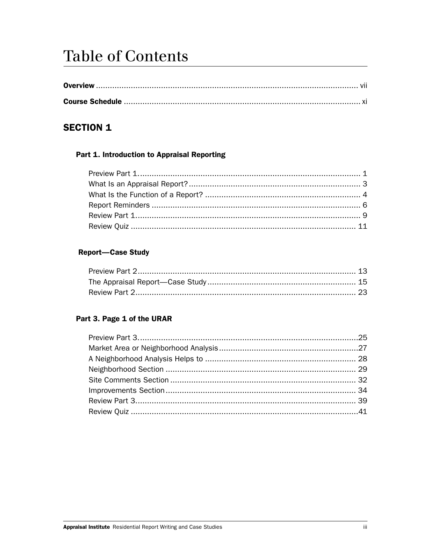# **Table of Contents**

# **SECTION 1**

#### Part 1. Introduction to Appraisal Reporting

### **Report-Case Study**

#### Part 3. Page 1 of the URAR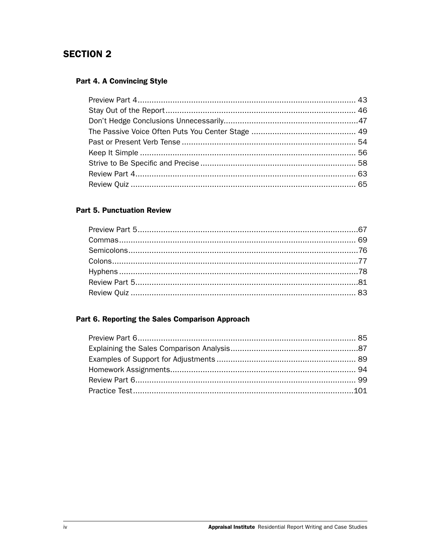# **SECTION 2**

#### Part 4. A Convincing Style

#### **Part 5. Punctuation Review**

## Part 6. Reporting the Sales Comparison Approach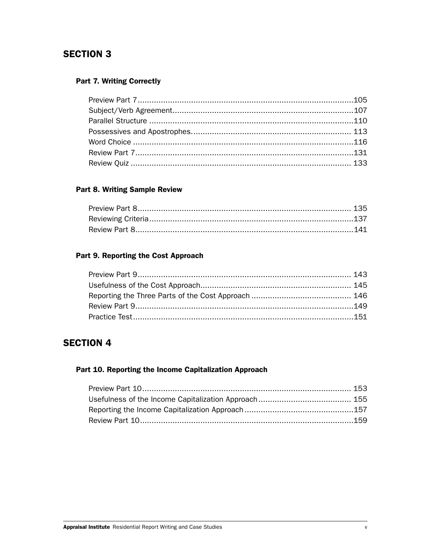# **SECTION 3**

#### **Part 7. Writing Correctly**

#### **Part 8. Writing Sample Review**

#### Part 9. Reporting the Cost Approach

# **SECTION 4**

#### Part 10. Reporting the Income Capitalization Approach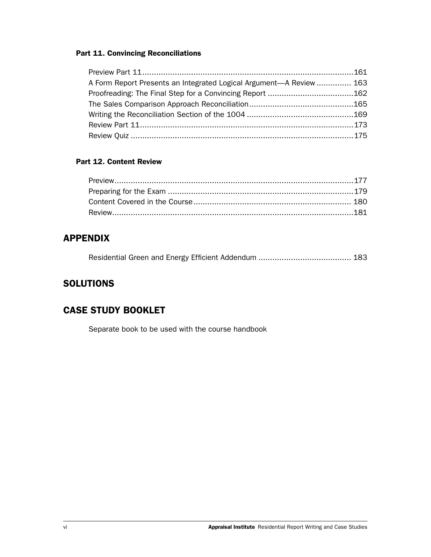#### Part 11. Convincing Reconciliations

| A Form Report Presents an Integrated Logical Argument—A Review  163 |  |
|---------------------------------------------------------------------|--|
|                                                                     |  |
|                                                                     |  |
|                                                                     |  |
|                                                                     |  |
|                                                                     |  |

#### Part 12. Content Review

## APPENDIX

|--|--|--|

# **SOLUTIONS**

## CASE STUDY BOOKLET

Separate book to be used with the course handbook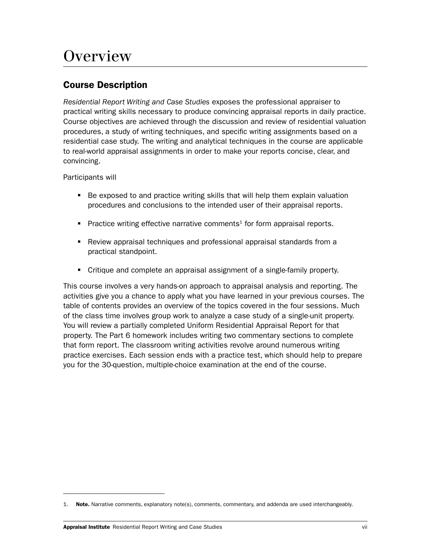# **Overview**

## Course Description

*Residential Report Writing and Case Studies* exposes the professional appraiser to practical writing skills necessary to produce convincing appraisal reports in daily practice. Course objectives are achieved through the discussion and review of residential valuation procedures, a study of writing techniques, and specific writing assignments based on a residential case study. The writing and analytical techniques in the course are applicable to real-world appraisal assignments in order to make your reports concise, clear, and convincing.

Participants will

- **Be exposed to and practice writing skills that will help them explain valuation** procedures and conclusions to the intended user of their appraisal reports.
- **Practice writing effective narrative comments<sup>1</sup> for form appraisal reports.**
- Review appraisal techniques and professional appraisal standards from a practical standpoint.
- Critique and complete an appraisal assignment of a single-family property.

This course involves a very hands-on approach to appraisal analysis and reporting. The activities give you a chance to apply what you have learned in your previous courses. The table of contents provides an overview of the topics covered in the four sessions. Much of the class time involves group work to analyze a case study of a single-unit property. You will review a partially completed Uniform Residential Appraisal Report for that property. The Part 6 homework includes writing two commentary sections to complete that form report. The classroom writing activities revolve around numerous writing practice exercises. Each session ends with a practice test, which should help to prepare you for the 30-question, multiple-choice examination at the end of the course.

<sup>1.</sup> Note. Narrative comments, explanatory note(s), comments, commentary, and addenda are used interchangeably.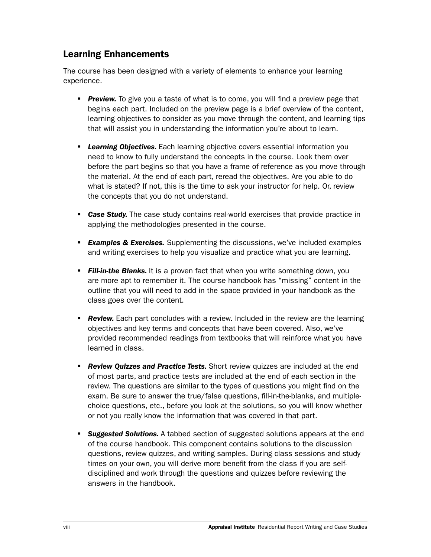## Learning Enhancements

The course has been designed with a variety of elements to enhance your learning experience.

- **Preview.** To give you a taste of what is to come, you will find a preview page that begins each part. Included on the preview page is a brief overview of the content, learning objectives to consider as you move through the content, and learning tips that will assist you in understanding the information you're about to learn.
- **Learning Objectives.** Each learning objective covers essential information you need to know to fully understand the concepts in the course. Look them over before the part begins so that you have a frame of reference as you move through the material. At the end of each part, reread the objectives. Are you able to do what is stated? If not, this is the time to ask your instructor for help. Or, review the concepts that you do not understand.
- **Case Study.** The case study contains real-world exercises that provide practice in applying the methodologies presented in the course.
- **Examples & Exercises.** Supplementing the discussions, we've included examples and writing exercises to help you visualize and practice what you are learning.
- **Fill-in-the Blanks.** It is a proven fact that when you write something down, you are more apt to remember it. The course handbook has "missing" content in the outline that you will need to add in the space provided in your handbook as the class goes over the content.
- **Review.** Each part concludes with a review. Included in the review are the learning objectives and key terms and concepts that have been covered. Also, we've provided recommended readings from textbooks that will reinforce what you have learned in class.
- **Review Quizzes and Practice Tests.** Short review quizzes are included at the end of most parts, and practice tests are included at the end of each section in the review. The questions are similar to the types of questions you might find on the exam. Be sure to answer the true/false questions, fill-in-the-blanks, and multiplechoice questions, etc., before you look at the solutions, so you will know whether or not you really know the information that was covered in that part.
- *Suggested Solutions.* A tabbed section of suggested solutions appears at the end of the course handbook. This component contains solutions to the discussion questions, review quizzes, and writing samples. During class sessions and study times on your own, you will derive more benefit from the class if you are selfdisciplined and work through the questions and quizzes before reviewing the answers in the handbook.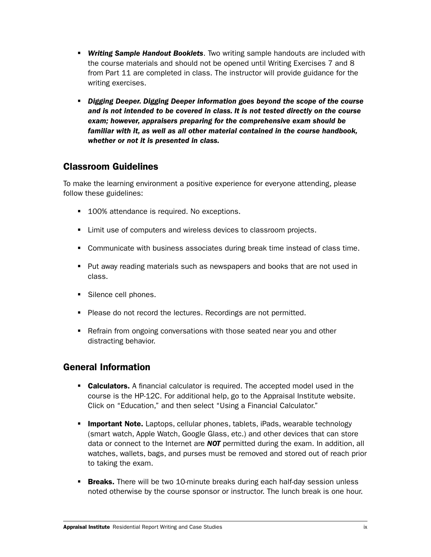- *Writing Sample Handout Booklets*. Two writing sample handouts are included with the course materials and should not be opened until Writing Exercises 7 and 8 from Part 11 are completed in class. The instructor will provide guidance for the writing exercises.
- **Digging Deeper. Digging Deeper information goes beyond the scope of the course** *and is not intended to be covered in class. It is not tested directly on the course exam; however, appraisers preparing for the comprehensive exam should be familiar with it, as well as all other material contained in the course handbook, whether or not it is presented in class.*

### Classroom Guidelines

To make the learning environment a positive experience for everyone attending, please follow these guidelines:

- 100% attendance is required. No exceptions.
- Limit use of computers and wireless devices to classroom projects.
- Communicate with business associates during break time instead of class time.
- **Put away reading materials such as newspapers and books that are not used in** class.
- Silence cell phones.
- **Please do not record the lectures. Recordings are not permitted.**
- Refrain from ongoing conversations with those seated near you and other distracting behavior.

## General Information

- **Calculators.** A financial calculator is required. The accepted model used in the course is the HP-12C. For additional help, go to the Appraisal Institute website. Click on "Education," and then select "Using a Financial Calculator."
- **Important Note.** Laptops, cellular phones, tablets, iPads, wearable technology (smart watch, Apple Watch, Google Glass, etc.) and other devices that can store data or connect to the Internet are *NOT* permitted during the exam. In addition, all watches, wallets, bags, and purses must be removed and stored out of reach prior to taking the exam.
- **Breaks.** There will be two 10-minute breaks during each half-day session unless noted otherwise by the course sponsor or instructor. The lunch break is one hour.